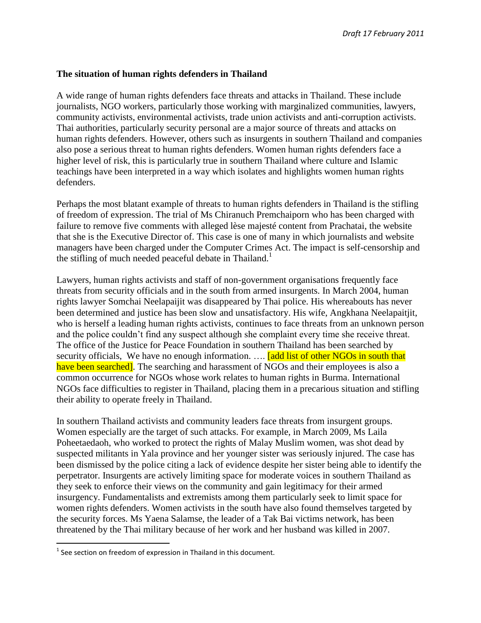## **The situation of human rights defenders in Thailand**

A wide range of human rights defenders face threats and attacks in Thailand. These include journalists, NGO workers, particularly those working with marginalized communities, lawyers, community activists, environmental activists, trade union activists and anti-corruption activists. Thai authorities, particularly security personal are a major source of threats and attacks on human rights defenders. However, others such as insurgents in southern Thailand and companies also pose a serious threat to human rights defenders. Women human rights defenders face a higher level of risk, this is particularly true in southern Thailand where culture and Islamic teachings have been interpreted in a way which isolates and highlights women human rights defenders.

Perhaps the most blatant example of threats to human rights defenders in Thailand is the stifling of freedom of expression. The trial of Ms Chiranuch Premchaiporn who has been charged with failure to remove five comments with alleged lèse majesté content from Prachatai, the website that she is the Executive Director of. This case is one of many in which journalists and website managers have been charged under the Computer Crimes Act. The impact is self-censorship and the stifling of much needed peaceful debate in Thailand.<sup>1</sup>

Lawyers, human rights activists and staff of non-government organisations frequently face threats from security officials and in the south from armed insurgents. In March 2004, human rights lawyer Somchai Neelapaijit was disappeared by Thai police. His whereabouts has never been determined and justice has been slow and unsatisfactory. His wife, Angkhana Neelapaitjit, who is herself a leading human rights activists, continues to face threats from an unknown person and the police couldn't find any suspect although she complaint every time she receive threat. The office of the Justice for Peace Foundation in southern Thailand has been searched by security officials, We have no enough information. .... [add list of other NGOs in south that have been searched]. The searching and harassment of NGOs and their employees is also a common occurrence for NGOs whose work relates to human rights in Burma. International NGOs face difficulties to register in Thailand, placing them in a precarious situation and stifling their ability to operate freely in Thailand.

In southern Thailand activists and community leaders face threats from insurgent groups. Women especially are the target of such attacks. For example, in March 2009, Ms Laila Poheetaedaoh, who worked to protect the rights of Malay Muslim women, was shot dead by suspected militants in Yala province and her younger sister was seriously injured. The case has been dismissed by the police citing a lack of evidence despite her sister being able to identify the perpetrator. Insurgents are actively limiting space for moderate voices in southern Thailand as they seek to enforce their views on the community and gain legitimacy for their armed insurgency. Fundamentalists and extremists among them particularly seek to limit space for women rights defenders. Women activists in the south have also found themselves targeted by the security forces. Ms Yaena Salamse, the leader of a Tak Bai victims network, has been threatened by the Thai military because of her work and her husband was killed in 2007.

 1 See section on freedom of expression in Thailand in this document.